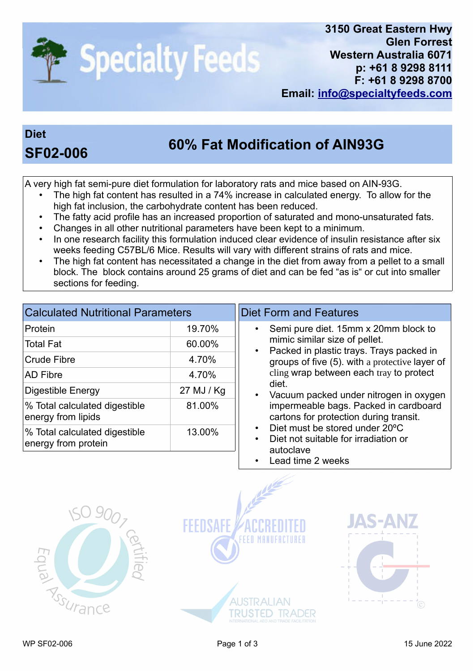

## **Diet**

## **60% Fat Modification of AIN93G SF02-006**

A very high fat semi-pure diet formulation for laboratory rats and mice based on AIN-93G.

- The high fat content has resulted in a 74% increase in calculated energy. To allow for the high fat inclusion, the carbohydrate content has been reduced.
- The fatty acid profile has an increased proportion of saturated and mono-unsaturated fats.
- Changes in all other nutritional parameters have been kept to a minimum.
- In one research facility this formulation induced clear evidence of insulin resistance after six weeks feeding C57BL/6 Mice. Results will vary with different strains of rats and mice.
- The high fat content has necessitated a change in the diet from away from a pellet to a small block. The block contains around 25 grams of diet and can be fed "as is" or cut into smaller sections for feeding.

| <b>Calculated Nutritional Parameters</b>             |            |  |  |  |
|------------------------------------------------------|------------|--|--|--|
| Protein                                              | 19.70%     |  |  |  |
| Total Fat                                            | 60.00%     |  |  |  |
| Crude Fibre                                          | 4.70%      |  |  |  |
| <b>AD Fibre</b>                                      | 4.70%      |  |  |  |
| Digestible Energy                                    | 27 MJ / Kg |  |  |  |
| % Total calculated digestible<br>energy from lipids  | 81.00%     |  |  |  |
| % Total calculated digestible<br>energy from protein | 13.00%     |  |  |  |

## Diet Form and Features

- Semi pure diet. 15mm x 20mm block to mimic similar size of pellet.
- Packed in plastic trays. Trays packed in groups of five (5). with a protective layer of cling wrap between each tray to protect diet.
- Vacuum packed under nitrogen in oxygen impermeable bags. Packed in cardboard cartons for protection during transit.
- Diet must be stored under 20°C
- Diet not suitable for irradiation or autoclave
- Lead time 2 weeks

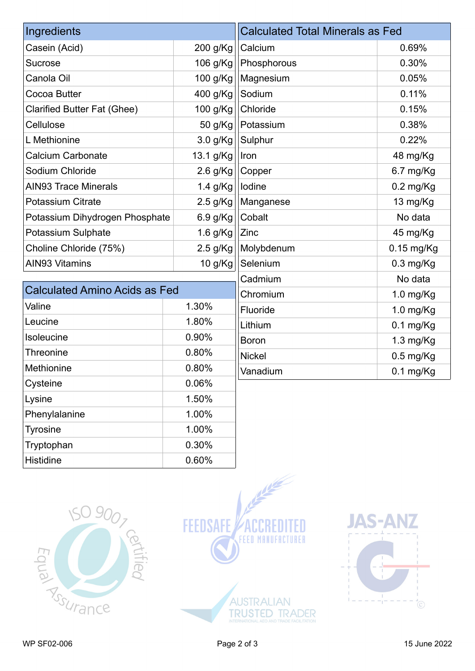| Ingredients                          |            | <b>Calculated Total Minerals as Fed</b> |                     |
|--------------------------------------|------------|-----------------------------------------|---------------------|
| Casein (Acid)                        | 200 g/Kg   | Calcium                                 | 0.69%               |
| <b>Sucrose</b>                       | 106 g/Kg   | Phosphorous                             | 0.30%               |
| Canola Oil                           | 100 g/Kg   | Magnesium                               | 0.05%               |
| Cocoa Butter                         | 400 g/Kg   | Sodium                                  | 0.11%               |
| <b>Clarified Butter Fat (Ghee)</b>   | 100 g/Kg   | Chloride                                | 0.15%               |
| Cellulose                            | 50 g/Kg    | Potassium                               | 0.38%               |
| L Methionine                         | $3.0$ g/Kg | Sulphur                                 | 0.22%               |
| <b>Calcium Carbonate</b>             | 13.1 g/Kg  | Iron                                    | 48 mg/Kg            |
| Sodium Chloride                      | 2.6 g/Kg   | Copper                                  | 6.7 mg/Kg           |
| <b>AIN93 Trace Minerals</b>          | 1.4 g/Kg   | Iodine                                  | $0.2$ mg/Kg         |
| <b>Potassium Citrate</b>             | $2.5$ g/Kg | Manganese                               | 13 mg/Kg            |
| Potassium Dihydrogen Phosphate       | 6.9 g/Kg   | Cobalt                                  | No data             |
| Potassium Sulphate                   | $1.6$ g/Kg | Zinc                                    | 45 mg/Kg            |
| Choline Chloride (75%)               | $2.5$ g/Kg | Molybdenum                              | $0.15$ mg/Kg        |
| <b>AIN93 Vitamins</b>                | 10 g/Kg    | Selenium                                | $0.3$ mg/Kg         |
|                                      |            | Cadmium                                 | No data             |
| <b>Calculated Amino Acids as Fed</b> |            | Chromium                                | $1.0$ mg/Kg         |
| Valine                               | 1.30%      | Fluoride                                | 1.0 mg/Kg           |
| Leucine                              | 1.80%      | Lithium                                 | $0.1 \text{ mg/Kg}$ |
| Isoleucine                           | 0.90%      | <b>Boron</b>                            | 1.3 mg/Kg           |
| <b>Threonine</b>                     | 0.80%      | <b>Nickel</b>                           | $0.5$ mg/Kg         |

| 1901000110    | <u>v.vv /v</u> | <b>Boron</b>  | $1.3$ mg/Kg |
|---------------|----------------|---------------|-------------|
| Threonine     | 0.80%          | <b>Nickel</b> | $0.5$ mg/Kg |
| Methionine    | 0.80%          | Vanadium      | $0.1$ mg/Kg |
| Cysteine      | 0.06%          |               |             |
| Lysine        | 1.50%          |               |             |
| Phenylalanine | 1.00%          |               |             |
| Tyrosine      | 1.00%          |               |             |
| Tryptophan    | 0.30%          |               |             |
| Histidine     | 0.60%          |               |             |

certified

**ISO 9007** 





**ASSURANCE** 

Equal